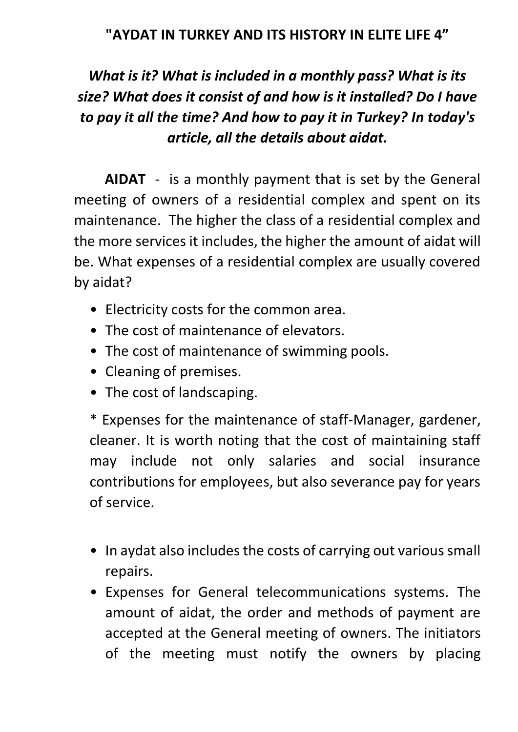#### **"AYDAT IN TURKEY AND ITS HISTORY IN ELITE LIFE 4"**

# *What is it? What is included in a monthly pass? What is its size? What does it consist of and how is it installed? Do I have to pay it all the time? And how to pay it in Turkey? In today's article, all the details about aidat.*

**AIDAT** - is a monthly payment that is set by the General meeting of owners of a residential complex and spent on its maintenance. The higher the class of a residential complex and the more services it includes, the higher the amount of aidat will be. What expenses of a residential complex are usually covered by aidat?

- Electricity costs for the common area.
- The cost of maintenance of elevators.
- The cost of maintenance of swimming pools.
- Cleaning of premises.
- The cost of landscaping.

\* Expenses for the maintenance of staff-Manager, gardener, cleaner. It is worth noting that the cost of maintaining staff may include not only salaries and social insurance contributions for employees, but also severance pay for years of service.

- In aydat also includes the costs of carrying out various small repairs.
- Expenses for General telecommunications systems. The amount of aidat, the order and methods of payment are accepted at the General meeting of owners. The initiators of the meeting must notify the owners by placing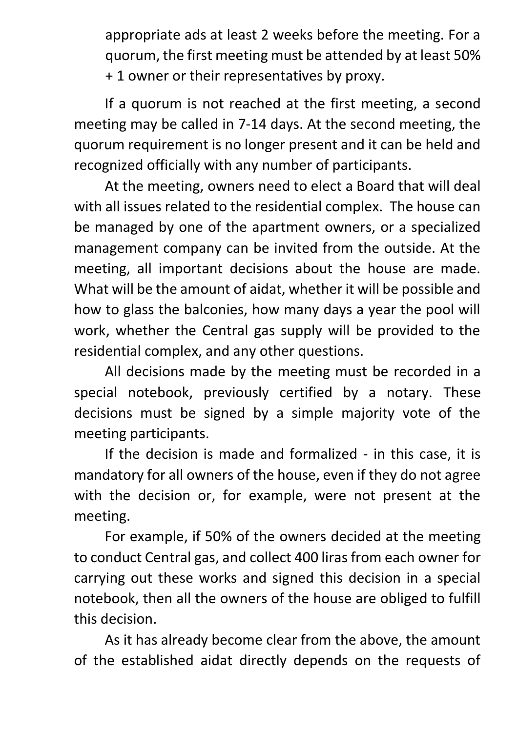appropriate ads at least 2 weeks before the meeting. For a quorum, the first meeting must be attended by at least 50% + 1 owner or their representatives by proxy.

If a quorum is not reached at the first meeting, a second meeting may be called in 7-14 days. At the second meeting, the quorum requirement is no longer present and it can be held and recognized officially with any number of participants.

At the meeting, owners need to elect a Board that will deal with all issues related to the residential complex. The house can be managed by one of the apartment owners, or a specialized management company can be invited from the outside. At the meeting, all important decisions about the house are made. What will be the amount of aidat, whether it will be possible and how to glass the balconies, how many days a year the pool will work, whether the Central gas supply will be provided to the residential complex, and any other questions.

All decisions made by the meeting must be recorded in a special notebook, previously certified by a notary. These decisions must be signed by a simple majority vote of the meeting participants.

If the decision is made and formalized - in this case, it is mandatory for all owners of the house, even if they do not agree with the decision or, for example, were not present at the meeting.

For example, if 50% of the owners decided at the meeting to conduct Central gas, and collect 400 liras from each owner for carrying out these works and signed this decision in a special notebook, then all the owners of the house are obliged to fulfill this decision.

As it has already become clear from the above, the amount of the established aidat directly depends on the requests of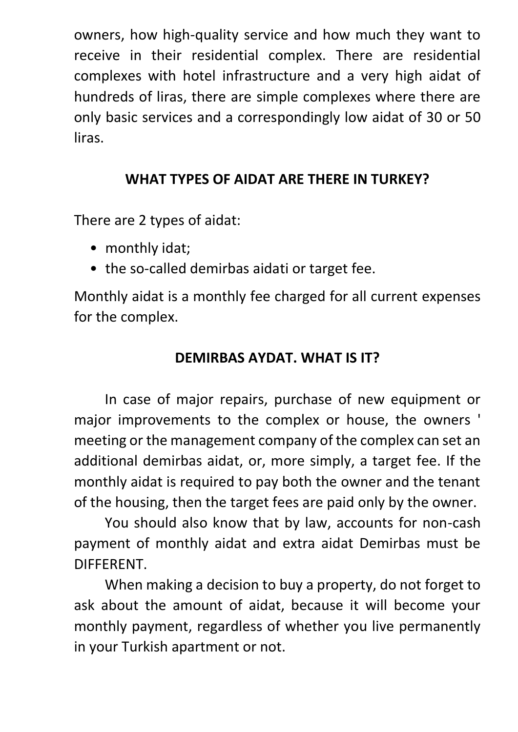owners, how high-quality service and how much they want to receive in their residential complex. There are residential complexes with hotel infrastructure and a very high aidat of hundreds of liras, there are simple complexes where there are only basic services and a correspondingly low aidat of 30 or 50 liras.

### **WHAT TYPES OF AIDAT ARE THERE IN TURKEY?**

There are 2 types of aidat:

- monthly idat;
- the so-called demirbas aidati or target fee.

Monthly aidat is a monthly fee charged for all current expenses for the complex.

#### **DEMIRBAS AYDAT. WHAT IS IT?**

In case of major repairs, purchase of new equipment or major improvements to the complex or house, the owners ' meeting or the management company of the complex can set an additional demirbas aidat, or, more simply, a target fee. If the monthly aidat is required to pay both the owner and the tenant of the housing, then the target fees are paid only by the owner.

You should also know that by law, accounts for non-cash payment of monthly aidat and extra aidat Demirbas must be DIFFERENT.

When making a decision to buy a property, do not forget to ask about the amount of aidat, because it will become your monthly payment, regardless of whether you live permanently in your Turkish apartment or not.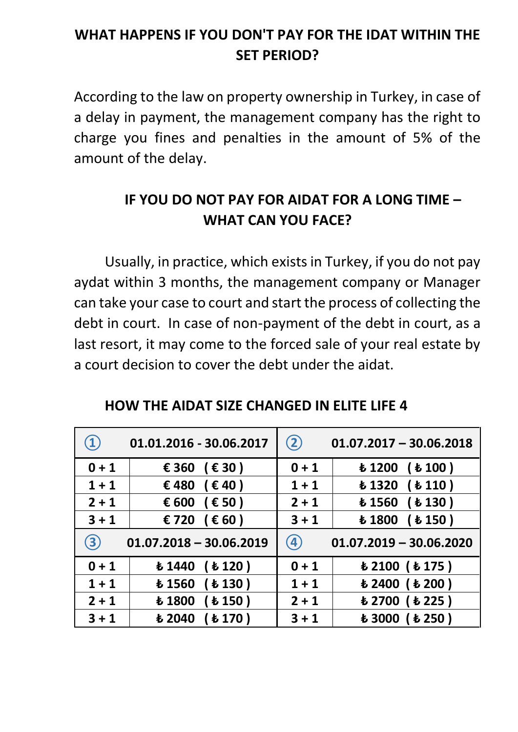## **WHAT HAPPENS IF YOU DON'T PAY FOR THE IDAT WITHIN THE SET PERIOD?**

According to the law on property ownership in Turkey, in case of a delay in payment, the management company has the right to charge you fines and penalties in the amount of 5% of the amount of the delay.

## **IF YOU DO NOT PAY FOR AIDAT FOR A LONG TIME – WHAT CAN YOU FACE?**

Usually, in practice, which exists in Turkey, if you do not pay aydat within 3 months, the management company or Manager can take your case to court and start the process of collecting the debt in court. In case of non-payment of the debt in court, as a last resort, it may come to the forced sale of your real estate by a court decision to cover the debt under the aidat.

| $\mathbf{1}$        | 01.01.2016 - 30.06.2017                  | (2)                                             | $01.07.2017 - 30.06.2018$                                   |  |  |
|---------------------|------------------------------------------|-------------------------------------------------|-------------------------------------------------------------|--|--|
| $0 + 1$             | € 360 (€ 30)                             | $0 + 1$                                         | ( <b>t</b> 100)<br>£1200                                    |  |  |
| $1 + 1$             | €480<br>$(\epsilon 40)$                  | $1 + 1$                                         | $\bm{t}$ 1320<br>( <b>t</b> 110)                            |  |  |
| $2 + 1$             | € 600<br>$(\epsilon$ 50)                 | $2 + 1$                                         | <b><i>Ł</i></b> 1560<br>( <b>t</b> 130)                     |  |  |
| $3 + 1$             | € 720<br>$(\epsilon 60)$                 | $3 + 1$                                         | <b>£1800</b><br>( <b>t</b> 150)                             |  |  |
| $\langle 3 \rangle$ | $01.07.2018 - 30.06.2019$                | $\boldsymbol{(4)}$<br>$01.07.2019 - 30.06.2020$ |                                                             |  |  |
| $0 + 1$             | $\bm{t}$ 1440<br>( <b>t</b> 120)         | $0 + 1$                                         | $\boldsymbol{\text{t}}$ 2100 ( $\boldsymbol{\text{t}}$ 175) |  |  |
| $1 + 1$             | $\bm{t}$ 1560<br>( <b>t</b> 130)         | $1 + 1$                                         | $\boldsymbol{\text{t}}$ 2400 ( $\boldsymbol{\text{t}}$ 200) |  |  |
| $2 + 1$             | <b>£1800</b><br>( <b>t</b> 150)          | $2 + 1$                                         | も2700 (も225)                                                |  |  |
| $3 + 1$             | $\boldsymbol{\mathsf{t}}$ 2040<br>(E170) | $3 + 1$                                         | $\boldsymbol{\text{t}}$ 3000 ( $\boldsymbol{\text{t}}$ 250) |  |  |

**HOW THE AIDAT SIZE CHANGED IN ELITE LIFE 4**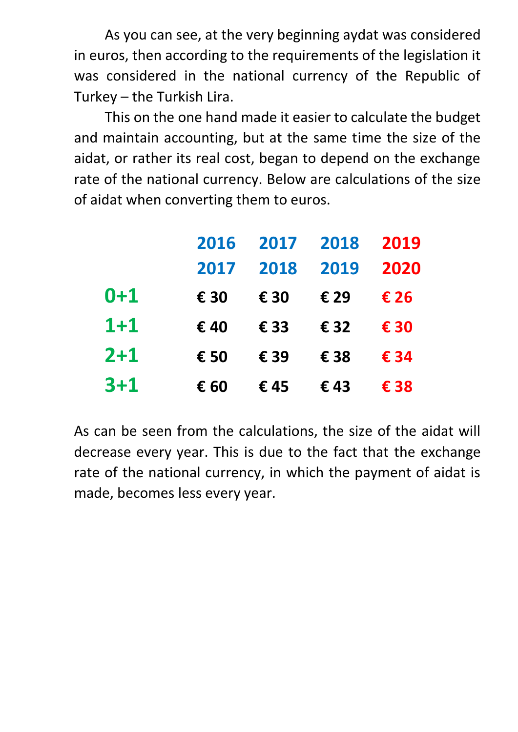As you can see, at the very beginning aydat was considered in euros, then according to the requirements of the legislation it was considered in the national currency of the Republic of Turkey – the Turkish Lira.

This on the one hand made it easier to calculate the budget and maintain accounting, but at the same time the size of the aidat, or rather its real cost, began to depend on the exchange rate of the national currency. Below are calculations of the size of aidat when converting them to euros.

|         | 2016 | 2017 | 2018 | 2019 |
|---------|------|------|------|------|
|         | 2017 | 2018 | 2019 | 2020 |
| $0 + 1$ | € 30 | € 30 | € 29 | € 26 |
| $1 + 1$ | €40  | € 33 | € 32 | € 30 |
| $2 + 1$ | € 50 | € 39 | € 38 | € 34 |
| $3 + 1$ | € 60 | €45  | €43  | € 38 |

As can be seen from the calculations, the size of the aidat will decrease every year. This is due to the fact that the exchange rate of the national currency, in which the payment of aidat is made, becomes less every year.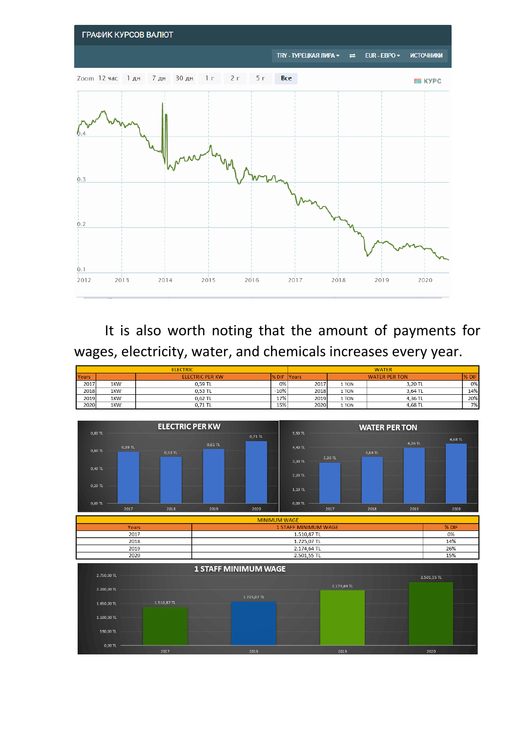

It is also worth noting that the amount of payments for wages, electricity, water, and chemicals increases every year.

| <b>ELECTRIC</b> |     |                        |        | <b>WATER</b>  |       |                      |       |
|-----------------|-----|------------------------|--------|---------------|-------|----------------------|-------|
| Years           |     | <b>ELECTRIC PER KW</b> | % DIF  | <b>IYears</b> |       | <b>WATER PER TON</b> | % DIF |
| 2017            | 1KW | 0,59 TL                | 0%     | 2017          | 1 TON | 3,20 TL              | 0%    |
| 2018            | 1KW | 0.53 TL                | $-10%$ | 2018          | 1 TON | 3.64 TL              | 14%   |
| 2019            | 1KW | $0.62$ TL              | 17%    | 2019          | 1 TON | 4.36 TL              | 20%   |
| 2020            | 1KW | 0.71 TL                | 15%    | 2020          | 1 TON | 4,68 TL              | 7%    |

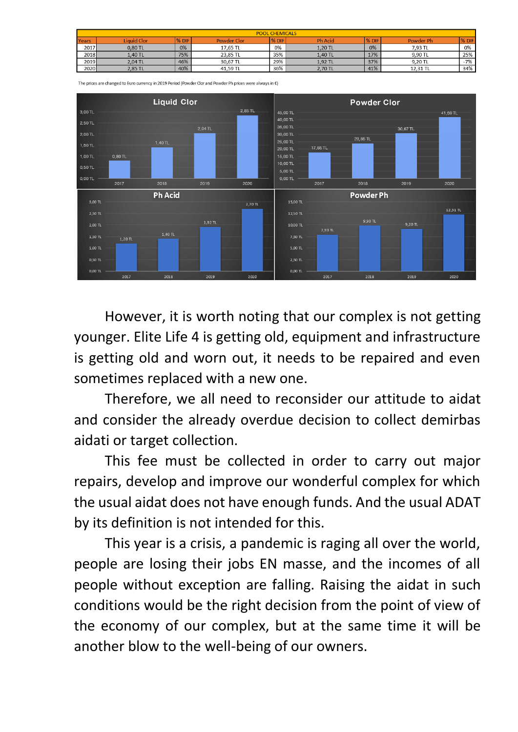| <b>POOL CHEMICALS</b> |                    |       |                    |       |                |               |           |       |
|-----------------------|--------------------|-------|--------------------|-------|----------------|---------------|-----------|-------|
| Years                 | <b>Liquid Clor</b> | % DIF | <b>Powder Clor</b> | % DIF | <b>Ph Acid</b> | <b>1% DIF</b> | Powder Ph | % DIF |
| 2017                  | 0.80 TL            | 0%    | 17,65 TL           | 0%    | 1,20 TL        | 0%            | 7,93 TL   | 0%    |
| 2018                  | 1.40 TL            | 75%   | 23.85 TL           | 35%   | 1.40 TL        | 17%           | 9.90 TL   | 25%   |
| 2019                  | 2.04 TL            | 46%   | 30.67 TL           | 29%   | 1.92 TL        | 37%           | 9.20 TL   | $-7%$ |
| 2020                  | 2,85 TL            | 40%   | 41,59 TL           | 36%   | 2,70 TL        | 41%           | 12,31 TL  | 34%   |



The prices are changed to Euro currency in 2019 Period (Powder Clor and Powder Ph prices were always in €)

However, it is worth noting that our complex is not getting younger. Elite Life 4 is getting old, equipment and infrastructure is getting old and worn out, it needs to be repaired and even sometimes replaced with a new one.

Therefore, we all need to reconsider our attitude to aidat and consider the already overdue decision to collect demirbas aidati or target collection.

This fee must be collected in order to carry out major repairs, develop and improve our wonderful complex for which the usual aidat does not have enough funds. And the usual ADAT by its definition is not intended for this.

This year is a crisis, a pandemic is raging all over the world, people are losing their jobs EN masse, and the incomes of all people without exception are falling. Raising the aidat in such conditions would be the right decision from the point of view of the economy of our complex, but at the same time it will be another blow to the well-being of our owners.